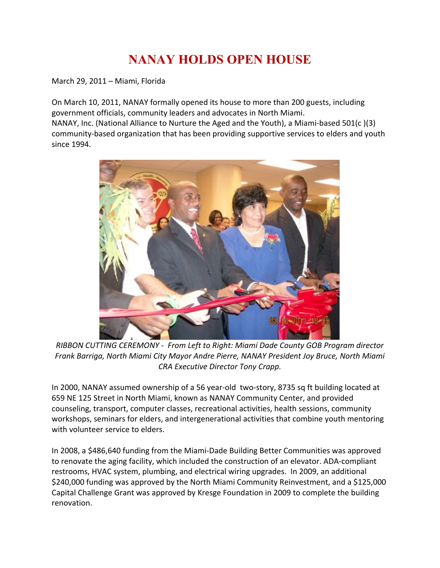## **NANAY HOLDS OPEN HOUSE**

March 29, 2011 – Miami, Florida

On March 10, 2011, NANAY formally opened its house to more than 200 guests, including government officials, community leaders and advocates in North Miami. NANAY, Inc. (National Alliance to Nurture the Aged and the Youth), a Miami-based 501(c )(3) community-based organization that has been providing supportive services to elders and youth since 1994.



*RIBBON CUTTING CEREMONY - From Left to Right: Miami Dade County GOB Program director Frank Barriga, North Miami City Mayor Andre Pierre, NANAY President Joy Bruce, North Miami CRA Executive Director Tony Crapp.*

In 2000, NANAY assumed ownership of a 56 year-old two-story, 8735 sq ft building located at 659 NE 125 Street in North Miami, known as NANAY Community Center, and provided counseling, transport, computer classes, recreational activities, health sessions, community workshops, seminars for elders, and intergenerational activities that combine youth mentoring with volunteer service to elders.

In 2008, a \$486,640 funding from the Miami-Dade Building Better Communities was approved to renovate the aging facility, which included the construction of an elevator. ADA-compliant restrooms, HVAC system, plumbing, and electrical wiring upgrades. In 2009, an additional \$240,000 funding was approved by the North Miami Community Reinvestment, and a \$125,000 Capital Challenge Grant was approved by Kresge Foundation in 2009 to complete the building renovation.